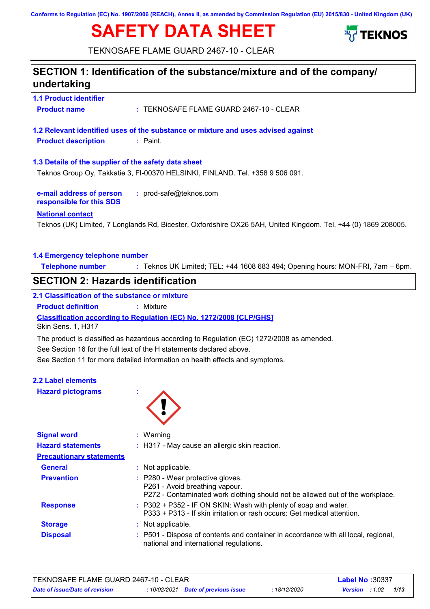**Conforms to Regulation (EC) No. 1907/2006 (REACH), Annex II, as amended by Commission Regulation (EU) 2015/830 - United Kingdom (UK)**

# **SAFETY DATA SHEET**



TEKNOSAFE FLAME GUARD 2467-10 - CLEAR

# **SECTION 1: Identification of the substance/mixture and of the company/ undertaking**

**1.1 Product identifier Product name :** TEKNOSAFE FLAME GUARD 2467-10 - CLEAR

**1.2 Relevant identified uses of the substance or mixture and uses advised against Product description :** Paint.

#### **1.3 Details of the supplier of the safety data sheet**

Teknos Group Oy, Takkatie 3, FI-00370 HELSINKI, FINLAND. Tel. +358 9 506 091.

**e-mail address of person responsible for this SDS :** prod-safe@teknos.com

#### **National contact**

Teknos (UK) Limited, 7 Longlands Rd, Bicester, Oxfordshire OX26 5AH, United Kingdom. Tel. +44 (0) 1869 208005.

#### **1.4 Emergency telephone number**

**Telephone number :** Teknos UK Limited; TEL: +44 1608 683 494; Opening hours: MON-FRI, 7am – 6pm.

### **SECTION 2: Hazards identification**

### **2.1 Classification of the substance or mixture**

**Product definition :** Mixture

**Classification according to Regulation (EC) No. 1272/2008 [CLP/GHS]**

Skin Sens. 1, H317

The product is classified as hazardous according to Regulation (EC) 1272/2008 as amended.

See Section 16 for the full text of the H statements declared above.

See Section 11 for more detailed information on health effects and symptoms.

# **2.2 Label elements**

**Hazard pictograms :**



| <b>Signal word</b>              | $:$ Warning                                                                                                                                         |
|---------------------------------|-----------------------------------------------------------------------------------------------------------------------------------------------------|
| <b>Hazard statements</b>        | : H317 - May cause an allergic skin reaction.                                                                                                       |
| <b>Precautionary statements</b> |                                                                                                                                                     |
| <b>General</b>                  | : Not applicable.                                                                                                                                   |
| <b>Prevention</b>               | : P280 - Wear protective gloves.<br>P261 - Avoid breathing vapour.<br>P272 - Contaminated work clothing should not be allowed out of the workplace. |
| <b>Response</b>                 | : P302 + P352 - IF ON SKIN: Wash with plenty of soap and water.<br>P333 + P313 - If skin irritation or rash occurs: Get medical attention.          |
| <b>Storage</b>                  | : Not applicable.                                                                                                                                   |
| <b>Disposal</b>                 | : P501 - Dispose of contents and container in accordance with all local, regional,<br>national and international regulations.                       |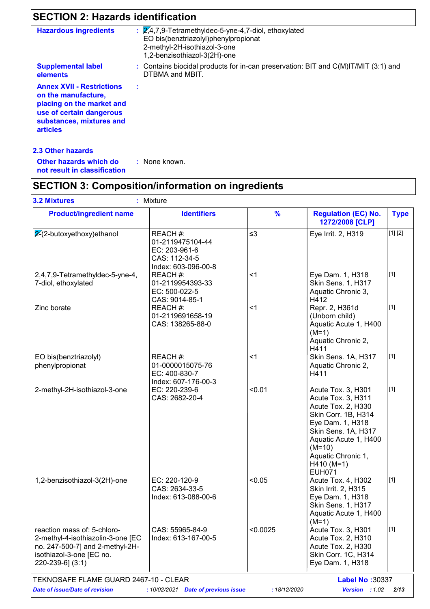# **SECTION 2: Hazards identification**

| <b>Hazardous ingredients</b>                                                                                                                                    | $\mathbb{Z}/4$ , 7, 9-Tetramethyldec-5-yne-4, 7-diol, ethoxylated<br>EO bis(benztriazolyl)phenylpropionat<br>2-methyl-2H-isothiazol-3-one<br>1,2-benzisothiazol-3(2H)-one |
|-----------------------------------------------------------------------------------------------------------------------------------------------------------------|---------------------------------------------------------------------------------------------------------------------------------------------------------------------------|
| <b>Supplemental label</b><br>elements                                                                                                                           | : Contains biocidal products for in-can preservation: BIT and C(M)IT/MIT (3:1) and<br>DTBMA and MBIT.                                                                     |
| <b>Annex XVII - Restrictions</b><br>on the manufacture,<br>placing on the market and<br>use of certain dangerous<br>substances, mixtures and<br><b>articles</b> |                                                                                                                                                                           |

### **2.3 Other hazards**

| Other hazards which do       | : None known. |  |
|------------------------------|---------------|--|
| not result in classification |               |  |

# **SECTION 3: Composition/information on ingredients**

| <b>Product/ingredient name</b>                                                                                                                      | <b>Identifiers</b>                                                                    | $\frac{9}{6}$ | <b>Regulation (EC) No.</b><br>1272/2008 [CLP]                                                                                                                                                                                | <b>Type</b> |  |
|-----------------------------------------------------------------------------------------------------------------------------------------------------|---------------------------------------------------------------------------------------|---------------|------------------------------------------------------------------------------------------------------------------------------------------------------------------------------------------------------------------------------|-------------|--|
| $2-(2-butoxyethoxy)ethanol$                                                                                                                         | REACH #:<br>01-2119475104-44<br>EC: 203-961-6<br>CAS: 112-34-5<br>Index: 603-096-00-8 | $\leq$ 3      | Eye Irrit. 2, H319                                                                                                                                                                                                           | [1] [2]     |  |
| 2,4,7,9-Tetramethyldec-5-yne-4,<br>7-diol, ethoxylated                                                                                              | REACH #:<br>01-2119954393-33<br>EC: 500-022-5<br>CAS: 9014-85-1                       | $<$ 1         | Eye Dam. 1, H318<br>Skin Sens. 1, H317<br>Aquatic Chronic 3,<br>H412                                                                                                                                                         | $[1]$       |  |
| Zinc borate                                                                                                                                         | REACH #:<br>01-2119691658-19<br>CAS: 138265-88-0                                      | $<$ 1         | Repr. 2, H361d<br>(Unborn child)<br>Aquatic Acute 1, H400<br>$(M=1)$<br>Aquatic Chronic 2,<br>H411                                                                                                                           | $[1]$       |  |
| EO bis(benztriazolyl)<br>phenylpropionat                                                                                                            | REACH#:<br>01-0000015075-76<br>EC: 400-830-7<br>Index: 607-176-00-3                   | $<$ 1         | Skin Sens. 1A, H317<br>Aquatic Chronic 2,<br>H411                                                                                                                                                                            | $[1]$       |  |
| 2-methyl-2H-isothiazol-3-one                                                                                                                        | EC: 220-239-6<br>CAS: 2682-20-4                                                       | < 0.01        | Acute Tox. 3, H301<br>Acute Tox. 3, H311<br>Acute Tox. 2, H330<br>Skin Corr. 1B, H314<br>Eye Dam. 1, H318<br>Skin Sens. 1A, H317<br>Aquatic Acute 1, H400<br>$(M=10)$<br>Aquatic Chronic 1,<br>$H410 (M=1)$<br><b>EUH071</b> | $[1]$       |  |
| 1,2-benzisothiazol-3(2H)-one                                                                                                                        | EC: 220-120-9<br>CAS: 2634-33-5<br>Index: 613-088-00-6                                | < 0.05        | Acute Tox. 4, H302<br>Skin Irrit. 2, H315<br>Eye Dam. 1, H318<br>Skin Sens. 1, H317<br>Aquatic Acute 1, H400<br>$(M=1)$                                                                                                      | $[1]$       |  |
| reaction mass of: 5-chloro-<br>2-methyl-4-isothiazolin-3-one [EC<br>no. 247-500-7] and 2-methyl-2H-<br>isothiazol-3-one [EC no.<br>220-239-6] (3:1) | CAS: 55965-84-9<br>Index: 613-167-00-5                                                | < 0.0025      | Acute Tox. 3, H301<br>Acute Tox. 2, H310<br>Acute Tox. 2, H330<br>Skin Corr. 1C, H314<br>Eye Dam. 1, H318                                                                                                                    | $[1]$       |  |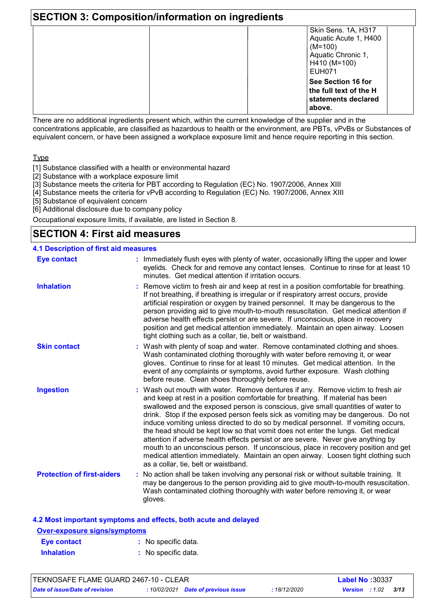| <b>SECTION 3: Composition/information on ingredients</b> |                                                                                                                  |  |  |  |
|----------------------------------------------------------|------------------------------------------------------------------------------------------------------------------|--|--|--|
|                                                          | Skin Sens. 1A, H317<br>Aquatic Acute 1, H400<br>$(M=100)$<br>Aquatic Chronic 1,<br>H410 (M=100)<br><b>EUH071</b> |  |  |  |
|                                                          | See Section 16 for<br>the full text of the H<br>statements declared<br>above.                                    |  |  |  |

There are no additional ingredients present which, within the current knowledge of the supplier and in the concentrations applicable, are classified as hazardous to health or the environment, are PBTs, vPvBs or Substances of equivalent concern, or have been assigned a workplace exposure limit and hence require reporting in this section.

Type

[1] Substance classified with a health or environmental hazard

[2] Substance with a workplace exposure limit

[3] Substance meets the criteria for PBT according to Regulation (EC) No. 1907/2006, Annex XIII

[4] Substance meets the criteria for vPvB according to Regulation (EC) No. 1907/2006, Annex XIII

[5] Substance of equivalent concern

[6] Additional disclosure due to company policy

Occupational exposure limits, if available, are listed in Section 8.

## **SECTION 4: First aid measures**

#### Wash out mouth with water. Remove dentures if any. Remove victim to fresh air **:** and keep at rest in a position comfortable for breathing. If material has been swallowed and the exposed person is conscious, give small quantities of water to drink. Stop if the exposed person feels sick as vomiting may be dangerous. Do not induce vomiting unless directed to do so by medical personnel. If vomiting occurs, the head should be kept low so that vomit does not enter the lungs. Get medical attention if adverse health effects persist or are severe. Never give anything by mouth to an unconscious person. If unconscious, place in recovery position and get medical attention immediately. Maintain an open airway. Loosen tight clothing such as a collar, tie, belt or waistband. **Skin contact :** Immediately flush eyes with plenty of water, occasionally lifting the upper and lower eyelids. Check for and remove any contact lenses. Continue to rinse for at least 10 minutes. Get medical attention if irritation occurs. Wash with plenty of soap and water. Remove contaminated clothing and shoes. **:** Wash contaminated clothing thoroughly with water before removing it, or wear gloves. Continue to rinse for at least 10 minutes. Get medical attention. In the event of any complaints or symptoms, avoid further exposure. Wash clothing before reuse. Clean shoes thoroughly before reuse. **4.1 Description of first aid measures** Remove victim to fresh air and keep at rest in a position comfortable for breathing. **:** If not breathing, if breathing is irregular or if respiratory arrest occurs, provide artificial respiration or oxygen by trained personnel. It may be dangerous to the person providing aid to give mouth-to-mouth resuscitation. Get medical attention if adverse health effects persist or are severe. If unconscious, place in recovery position and get medical attention immediately. Maintain an open airway. Loosen tight clothing such as a collar, tie, belt or waistband. **Ingestion Inhalation Eye contact Protection of first-aiders :** No action shall be taken involving any personal risk or without suitable training. It may be dangerous to the person providing aid to give mouth-to-mouth resuscitation. Wash contaminated clothing thoroughly with water before removing it, or wear gloves.

#### **4.2 Most important symptoms and effects, both acute and delayed**

| <b>Over-exposure signs/symptoms</b> |                     |  |  |  |
|-------------------------------------|---------------------|--|--|--|
| Eye contact                         | : No specific data. |  |  |  |
| <b>Inhalation</b>                   | : No specific data. |  |  |  |

| TEKNOSAFE FLAME GUARD 2467-10 - CLEAR |  |                                     |              |                       | <b>Label No: 30337</b> |      |  |
|---------------------------------------|--|-------------------------------------|--------------|-----------------------|------------------------|------|--|
| Date of issue/Date of revision        |  | : 10/02/2021 Date of previous issue | : 18/12/2020 | <b>Version</b> : 1.02 |                        | 3/13 |  |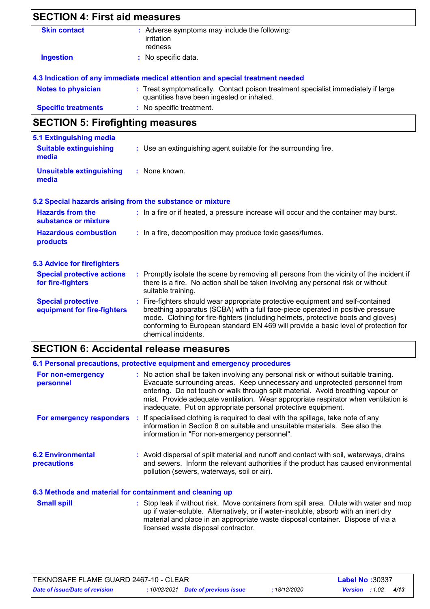| <b>SECTION 4: First aid measures</b>                                     |                                                                                                                                                                                                                                                                                                                                                                       |
|--------------------------------------------------------------------------|-----------------------------------------------------------------------------------------------------------------------------------------------------------------------------------------------------------------------------------------------------------------------------------------------------------------------------------------------------------------------|
| <b>Skin contact</b>                                                      | : Adverse symptoms may include the following:<br>irritation<br>redness                                                                                                                                                                                                                                                                                                |
| <b>Ingestion</b>                                                         | : No specific data.                                                                                                                                                                                                                                                                                                                                                   |
|                                                                          | 4.3 Indication of any immediate medical attention and special treatment needed                                                                                                                                                                                                                                                                                        |
| <b>Notes to physician</b>                                                | : Treat symptomatically. Contact poison treatment specialist immediately if large<br>quantities have been ingested or inhaled.                                                                                                                                                                                                                                        |
| <b>Specific treatments</b>                                               | : No specific treatment.                                                                                                                                                                                                                                                                                                                                              |
| <b>SECTION 5: Firefighting measures</b>                                  |                                                                                                                                                                                                                                                                                                                                                                       |
| <b>5.1 Extinguishing media</b><br><b>Suitable extinguishing</b><br>media | : Use an extinguishing agent suitable for the surrounding fire.                                                                                                                                                                                                                                                                                                       |
| <b>Unsuitable extinguishing</b><br>media                                 | : None known.                                                                                                                                                                                                                                                                                                                                                         |
|                                                                          | 5.2 Special hazards arising from the substance or mixture                                                                                                                                                                                                                                                                                                             |
| <b>Hazards from the</b><br>substance or mixture                          | : In a fire or if heated, a pressure increase will occur and the container may burst.                                                                                                                                                                                                                                                                                 |
| <b>Hazardous combustion</b><br>products                                  | : In a fire, decomposition may produce toxic gases/fumes.                                                                                                                                                                                                                                                                                                             |
| <b>5.3 Advice for firefighters</b>                                       |                                                                                                                                                                                                                                                                                                                                                                       |
| <b>Special protective actions</b><br>for fire-fighters                   | : Promptly isolate the scene by removing all persons from the vicinity of the incident if<br>there is a fire. No action shall be taken involving any personal risk or without<br>suitable training.                                                                                                                                                                   |
| <b>Special protective</b><br>equipment for fire-fighters                 | : Fire-fighters should wear appropriate protective equipment and self-contained<br>breathing apparatus (SCBA) with a full face-piece operated in positive pressure<br>mode. Clothing for fire-fighters (including helmets, protective boots and gloves)<br>conforming to European standard EN 469 will provide a basic level of protection for<br>chemical incidents. |

### **SECTION 6: Accidental release measures**

|                                         | 6.1 Personal precautions, protective equipment and emergency procedures                                                                                                                                                                                                                                                                                                                                         |
|-----------------------------------------|-----------------------------------------------------------------------------------------------------------------------------------------------------------------------------------------------------------------------------------------------------------------------------------------------------------------------------------------------------------------------------------------------------------------|
| For non-emergency<br>personnel          | : No action shall be taken involving any personal risk or without suitable training.<br>Evacuate surrounding areas. Keep unnecessary and unprotected personnel from<br>entering. Do not touch or walk through spilt material. Avoid breathing vapour or<br>mist. Provide adequate ventilation. Wear appropriate respirator when ventilation is<br>inadequate. Put on appropriate personal protective equipment. |
|                                         | For emergency responders : If specialised clothing is required to deal with the spillage, take note of any<br>information in Section 8 on suitable and unsuitable materials. See also the<br>information in "For non-emergency personnel".                                                                                                                                                                      |
| <b>6.2 Environmental</b><br>precautions | : Avoid dispersal of spilt material and runoff and contact with soil, waterways, drains<br>and sewers. Inform the relevant authorities if the product has caused environmental<br>pollution (sewers, waterways, soil or air).                                                                                                                                                                                   |
|                                         |                                                                                                                                                                                                                                                                                                                                                                                                                 |

### **6.3 Methods and material for containment and cleaning up**

Stop leak if without risk. Move containers from spill area. Dilute with water and mop up if water-soluble. Alternatively, or if water-insoluble, absorb with an inert dry material and place in an appropriate waste disposal container. Dispose of via a licensed waste disposal contractor. **Small spill :**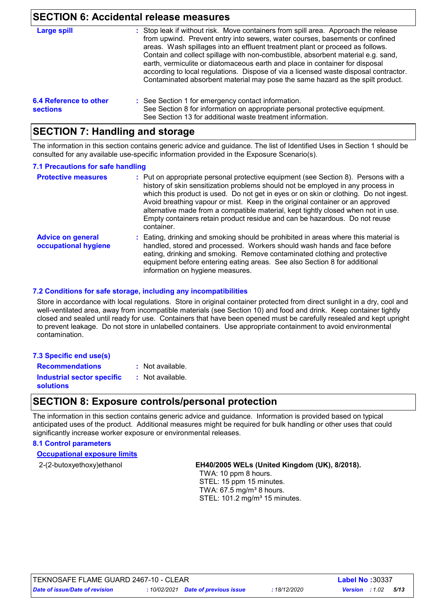### **SECTION 6: Accidental release measures**

| Large spill                               | : Stop leak if without risk. Move containers from spill area. Approach the release<br>from upwind. Prevent entry into sewers, water courses, basements or confined<br>areas. Wash spillages into an effluent treatment plant or proceed as follows.<br>Contain and collect spillage with non-combustible, absorbent material e.g. sand,<br>earth, vermiculite or diatomaceous earth and place in container for disposal<br>according to local regulations. Dispose of via a licensed waste disposal contractor.<br>Contaminated absorbent material may pose the same hazard as the spilt product. |
|-------------------------------------------|---------------------------------------------------------------------------------------------------------------------------------------------------------------------------------------------------------------------------------------------------------------------------------------------------------------------------------------------------------------------------------------------------------------------------------------------------------------------------------------------------------------------------------------------------------------------------------------------------|
| 6.4 Reference to other<br><b>sections</b> | : See Section 1 for emergency contact information.<br>See Section 8 for information on appropriate personal protective equipment.<br>See Section 13 for additional waste treatment information.                                                                                                                                                                                                                                                                                                                                                                                                   |

### **SECTION 7: Handling and storage**

The information in this section contains generic advice and guidance. The list of Identified Uses in Section 1 should be consulted for any available use-specific information provided in the Exposure Scenario(s).

#### **7.1 Precautions for safe handling**

| <b>Protective measures</b>                       | : Put on appropriate personal protective equipment (see Section 8). Persons with a<br>history of skin sensitization problems should not be employed in any process in<br>which this product is used. Do not get in eyes or on skin or clothing. Do not ingest.<br>Avoid breathing vapour or mist. Keep in the original container or an approved<br>alternative made from a compatible material, kept tightly closed when not in use.<br>Empty containers retain product residue and can be hazardous. Do not reuse<br>container. |
|--------------------------------------------------|----------------------------------------------------------------------------------------------------------------------------------------------------------------------------------------------------------------------------------------------------------------------------------------------------------------------------------------------------------------------------------------------------------------------------------------------------------------------------------------------------------------------------------|
| <b>Advice on general</b><br>occupational hygiene | : Eating, drinking and smoking should be prohibited in areas where this material is<br>handled, stored and processed. Workers should wash hands and face before<br>eating, drinking and smoking. Remove contaminated clothing and protective<br>equipment before entering eating areas. See also Section 8 for additional<br>information on hygiene measures.                                                                                                                                                                    |

### **7.2 Conditions for safe storage, including any incompatibilities**

Store in accordance with local regulations. Store in original container protected from direct sunlight in a dry, cool and well-ventilated area, away from incompatible materials (see Section 10) and food and drink. Keep container tightly closed and sealed until ready for use. Containers that have been to prevent leakage. Do not store in unlabelled containers. Use appropriate containment to avoid environmental contamination.

| <u>UDSCU ANU SCAICU UNIIN ICAU IUN USC.  UUNIANICIS INAI NAVC DECN UDCNEU MUSI DE CAICIUN ICSCAICU ANU NEDI UDNUNI</u> |  |
|------------------------------------------------------------------------------------------------------------------------|--|
| to prevent leakage. Do not store in unlabelled containers. Use appropriate containment to avoid environmental          |  |
| contamination.                                                                                                         |  |
|                                                                                                                        |  |

| <b>Recommendations</b>            |  | : Not |
|-----------------------------------|--|-------|
| <b>Industrial sector specific</b> |  | : Not |

- lot available.
- **solutions**
- ot available.

### **SECTION 8: Exposure controls/personal protection**

The information in this section contains generic advice and guidance. Information is provided based on typical anticipated uses of the product. Additional measures might be required for bulk handling or other uses that could significantly increase worker exposure or environmental releases.

#### **8.1 Control parameters**

**7.3 Specific end use(s)**

**Occupational exposure limits**

#### 2-(2-butoxyethoxy)ethanol **EH40/2005 WELs (United Kingdom (UK), 8/2018).**

 TWA: 10 ppm 8 hours. STEL: 15 ppm 15 minutes. TWA:  $67.5$  mg/m<sup>3</sup> 8 hours. STEL: 101.2 mg/m<sup>3</sup> 15 minutes.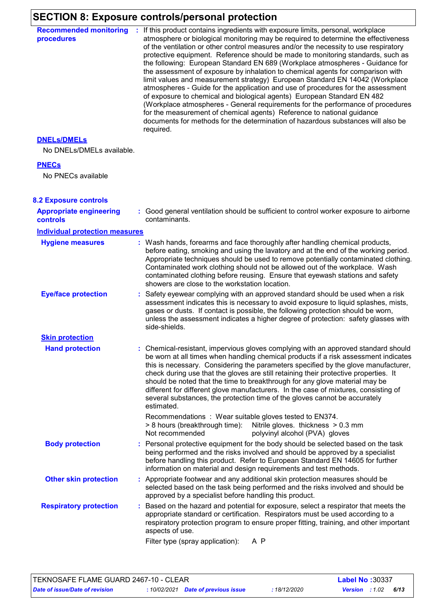# **SECTION 8: Exposure controls/personal protection**

| : If this product contains ingredients with exposure limits, personal, workplace<br>atmosphere or biological monitoring may be required to determine the effectiveness<br>of the ventilation or other control measures and/or the necessity to use respiratory<br>protective equipment. Reference should be made to monitoring standards, such as<br>the following: European Standard EN 689 (Workplace atmospheres - Guidance for<br>the assessment of exposure by inhalation to chemical agents for comparison with<br>limit values and measurement strategy) European Standard EN 14042 (Workplace<br>atmospheres - Guide for the application and use of procedures for the assessment<br>of exposure to chemical and biological agents) European Standard EN 482<br>(Workplace atmospheres - General requirements for the performance of procedures<br>for the measurement of chemical agents) Reference to national guidance<br>documents for methods for the determination of hazardous substances will also be<br>required. |
|------------------------------------------------------------------------------------------------------------------------------------------------------------------------------------------------------------------------------------------------------------------------------------------------------------------------------------------------------------------------------------------------------------------------------------------------------------------------------------------------------------------------------------------------------------------------------------------------------------------------------------------------------------------------------------------------------------------------------------------------------------------------------------------------------------------------------------------------------------------------------------------------------------------------------------------------------------------------------------------------------------------------------------|
|                                                                                                                                                                                                                                                                                                                                                                                                                                                                                                                                                                                                                                                                                                                                                                                                                                                                                                                                                                                                                                    |
|                                                                                                                                                                                                                                                                                                                                                                                                                                                                                                                                                                                                                                                                                                                                                                                                                                                                                                                                                                                                                                    |
|                                                                                                                                                                                                                                                                                                                                                                                                                                                                                                                                                                                                                                                                                                                                                                                                                                                                                                                                                                                                                                    |
| : Good general ventilation should be sufficient to control worker exposure to airborne<br>contaminants.                                                                                                                                                                                                                                                                                                                                                                                                                                                                                                                                                                                                                                                                                                                                                                                                                                                                                                                            |
|                                                                                                                                                                                                                                                                                                                                                                                                                                                                                                                                                                                                                                                                                                                                                                                                                                                                                                                                                                                                                                    |
| : Wash hands, forearms and face thoroughly after handling chemical products,<br>before eating, smoking and using the lavatory and at the end of the working period.<br>Appropriate techniques should be used to remove potentially contaminated clothing.<br>Contaminated work clothing should not be allowed out of the workplace. Wash<br>contaminated clothing before reusing. Ensure that eyewash stations and safety<br>showers are close to the workstation location.                                                                                                                                                                                                                                                                                                                                                                                                                                                                                                                                                        |
| : Safety eyewear complying with an approved standard should be used when a risk<br>assessment indicates this is necessary to avoid exposure to liquid splashes, mists,<br>gases or dusts. If contact is possible, the following protection should be worn,<br>unless the assessment indicates a higher degree of protection: safety glasses with<br>side-shields.                                                                                                                                                                                                                                                                                                                                                                                                                                                                                                                                                                                                                                                                  |
|                                                                                                                                                                                                                                                                                                                                                                                                                                                                                                                                                                                                                                                                                                                                                                                                                                                                                                                                                                                                                                    |
| : Chemical-resistant, impervious gloves complying with an approved standard should<br>be worn at all times when handling chemical products if a risk assessment indicates<br>this is necessary. Considering the parameters specified by the glove manufacturer,<br>check during use that the gloves are still retaining their protective properties. It<br>should be noted that the time to breakthrough for any glove material may be<br>different for different glove manufacturers. In the case of mixtures, consisting of<br>several substances, the protection time of the gloves cannot be accurately<br>estimated.                                                                                                                                                                                                                                                                                                                                                                                                          |
| Recommendations : Wear suitable gloves tested to EN374.<br>> 8 hours (breakthrough time): Nitrile gloves. thickness > 0.3 mm<br>Not recommended<br>polyvinyl alcohol (PVA) gloves                                                                                                                                                                                                                                                                                                                                                                                                                                                                                                                                                                                                                                                                                                                                                                                                                                                  |
| : Personal protective equipment for the body should be selected based on the task<br>being performed and the risks involved and should be approved by a specialist<br>before handling this product. Refer to European Standard EN 14605 for further<br>information on material and design requirements and test methods.                                                                                                                                                                                                                                                                                                                                                                                                                                                                                                                                                                                                                                                                                                           |
| : Appropriate footwear and any additional skin protection measures should be<br>selected based on the task being performed and the risks involved and should be<br>approved by a specialist before handling this product.                                                                                                                                                                                                                                                                                                                                                                                                                                                                                                                                                                                                                                                                                                                                                                                                          |
| : Based on the hazard and potential for exposure, select a respirator that meets the<br>appropriate standard or certification. Respirators must be used according to a<br>respiratory protection program to ensure proper fitting, training, and other important<br>aspects of use.<br>Filter type (spray application):<br>A P                                                                                                                                                                                                                                                                                                                                                                                                                                                                                                                                                                                                                                                                                                     |
| No DNELs/DMELs available.<br><b>Individual protection measures</b>                                                                                                                                                                                                                                                                                                                                                                                                                                                                                                                                                                                                                                                                                                                                                                                                                                                                                                                                                                 |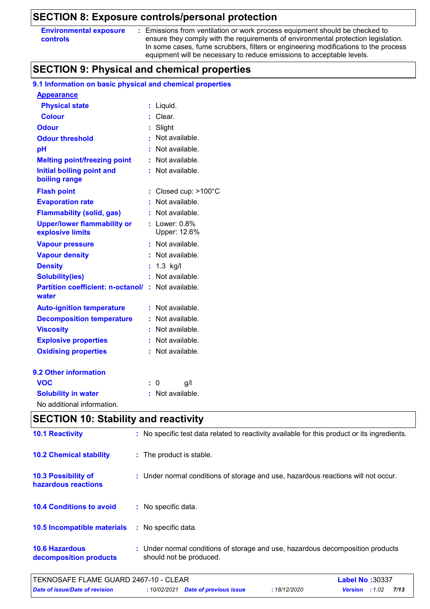### **SECTION 8: Exposure controls/personal protection**

| <b>Environmental exposure</b> |  |
|-------------------------------|--|
| <b>controls</b>               |  |

**:** Emissions from ventilation or work process equipment should be checked to ensure they comply with the requirements of environmental protection legislation. In some cases, fume scrubbers, filters or engineering modifications to the process equipment will be necessary to reduce emissions to acceptable levels.

# **SECTION 9: Physical and chemical properties**

### **9.1 Information on basic physical and chemical properties**

| <b>Appearance</b>                                      |    |                                |
|--------------------------------------------------------|----|--------------------------------|
| <b>Physical state</b>                                  | ÷  | Liquid.                        |
| <b>Colour</b>                                          |    | Clear.                         |
| <b>Odour</b>                                           |    | Slight                         |
| <b>Odour threshold</b>                                 |    | Not available.                 |
| pH                                                     |    | Not available.                 |
| <b>Melting point/freezing point</b>                    | ÷  | Not available.                 |
| <b>Initial boiling point and</b><br>boiling range      |    | Not available.                 |
| <b>Flash point</b>                                     | t. | Closed cup: >100°C             |
| <b>Evaporation rate</b>                                |    | Not available.                 |
| <b>Flammability (solid, gas)</b>                       |    | Not available.                 |
| <b>Upper/lower flammability or</b><br>explosive limits |    | Lower: $0.8\%$<br>Upper: 12.6% |
| <b>Vapour pressure</b>                                 | ÷. | Not available.                 |
| <b>Vapour density</b>                                  |    | Not available.                 |
| <b>Density</b>                                         |    | $1.3$ kg/l                     |
| <b>Solubility(ies)</b>                                 |    | Not available.                 |
| <b>Partition coefficient: n-octanol/</b><br>water      | ÷. | Not available.                 |
| <b>Auto-ignition temperature</b>                       | ÷  | Not available.                 |
| <b>Decomposition temperature</b>                       | ÷. | Not available.                 |
| <b>Viscosity</b>                                       |    | Not available.                 |
| <b>Explosive properties</b>                            |    | Not available.                 |
| <b>Oxidising properties</b>                            | ÷. | Not available.                 |
| 9.2 Other information                                  |    |                                |
| <b>VOC</b>                                             |    | 0<br>g/l                       |
| <b>Solubility in water</b>                             |    | Not available.                 |
| No additional information.                             |    |                                |

|                                                 | <b>SECTION 10: Stability and reactivity</b>                                                               |  |  |  |  |  |
|-------------------------------------------------|-----------------------------------------------------------------------------------------------------------|--|--|--|--|--|
| <b>10.1 Reactivity</b>                          | : No specific test data related to reactivity available for this product or its ingredients.              |  |  |  |  |  |
| <b>10.2 Chemical stability</b>                  | : The product is stable.                                                                                  |  |  |  |  |  |
| 10.3 Possibility of<br>hazardous reactions      | : Under normal conditions of storage and use, hazardous reactions will not occur.                         |  |  |  |  |  |
| <b>10.4 Conditions to avoid</b>                 | : No specific data.                                                                                       |  |  |  |  |  |
| 10.5 Incompatible materials                     | : No specific data.                                                                                       |  |  |  |  |  |
| <b>10.6 Hazardous</b><br>decomposition products | : Under normal conditions of storage and use, hazardous decomposition products<br>should not be produced. |  |  |  |  |  |

| TEKNOSAFE FLAME GUARD 2467-10 - CLEAR | <b>Label No: 30337</b> |                                     |                   |                       |      |  |
|---------------------------------------|------------------------|-------------------------------------|-------------------|-----------------------|------|--|
| <b>Date of issue/Date of revision</b> |                        | : 10/02/2021 Date of previous issue | <b>18/12/2020</b> | <b>Version</b> : 1.02 | 7/13 |  |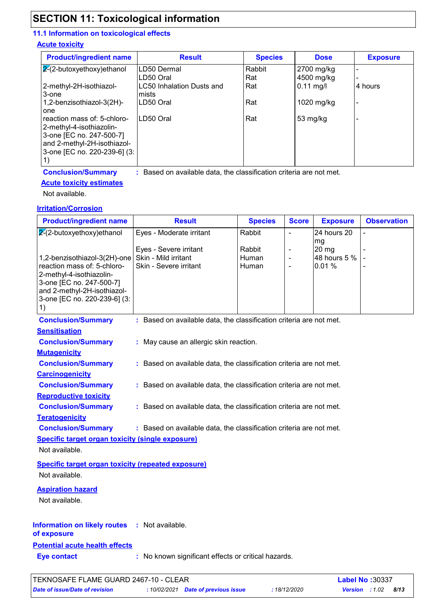# **SECTION 11: Toxicological information**

### **11.1 Information on toxicological effects**

### **Acute toxicity**

| <b>Product/ingredient name</b> | <b>Result</b>             | <b>Species</b> | <b>Dose</b> | <b>Exposure</b> |
|--------------------------------|---------------------------|----------------|-------------|-----------------|
| $2-(2-butoxyethoxy)ethanol$    | LD50 Dermal               | Rabbit         | 2700 mg/kg  |                 |
|                                | LD50 Oral                 | Rat            | 4500 mg/kg  |                 |
| 2-methyl-2H-isothiazol-        | LC50 Inhalation Dusts and | Rat            | $0.11$ mg/l | 4 hours         |
| 3-one                          | lmists                    |                |             |                 |
| 1,2-benzisothiazol-3(2H)-      | LD50 Oral                 | Rat            | 1020 mg/kg  |                 |
| one                            |                           |                |             |                 |
| reaction mass of: 5-chloro-    | LD50 Oral                 | Rat            | 53 mg/kg    |                 |
| 2-methyl-4-isothiazolin-       |                           |                |             |                 |
| 3-one [EC no. 247-500-7]       |                           |                |             |                 |
| and 2-methyl-2H-isothiazol-    |                           |                |             |                 |
| 3-one [EC no. 220-239-6] (3:   |                           |                |             |                 |
|                                |                           |                |             |                 |

**Conclusion/Summary :**

: Based on available data, the classification criteria are not met.

### **Acute toxicity estimates**

Not available.

### **Irritation/Corrosion**

| <b>Product/ingredient name</b>                                                                   | <b>Result</b>                                                            | <b>Species</b>           | <b>Score</b>                     | <b>Exposure</b>                        | <b>Observation</b> |  |  |
|--------------------------------------------------------------------------------------------------|--------------------------------------------------------------------------|--------------------------|----------------------------------|----------------------------------------|--------------------|--|--|
| $2-(2-butoxyethoxy)ethanol$                                                                      | Eyes - Moderate irritant                                                 | Rabbit                   | $\blacksquare$                   | 24 hours 20                            |                    |  |  |
| 1,2-benzisothiazol-3(2H)-one<br>reaction mass of: 5-chloro-<br>2-methyl-4-isothiazolin-          | Eyes - Severe irritant<br>Skin - Mild irritant<br>Skin - Severe irritant | Rabbit<br>Human<br>Human | $\overline{a}$<br>$\overline{a}$ | mg<br>$20$ mg<br>48 hours 5 %<br>0.01% |                    |  |  |
| 3-one [EC no. 247-500-7]<br>and 2-methyl-2H-isothiazol-<br>3-one [EC no. 220-239-6] (3:<br>1)    |                                                                          |                          |                                  |                                        |                    |  |  |
| <b>Conclusion/Summary</b>                                                                        | : Based on available data, the classification criteria are not met.      |                          |                                  |                                        |                    |  |  |
| <b>Sensitisation</b>                                                                             |                                                                          |                          |                                  |                                        |                    |  |  |
| <b>Conclusion/Summary</b>                                                                        | : May cause an allergic skin reaction.                                   |                          |                                  |                                        |                    |  |  |
| <b>Mutagenicity</b>                                                                              |                                                                          |                          |                                  |                                        |                    |  |  |
| <b>Conclusion/Summary</b>                                                                        | : Based on available data, the classification criteria are not met.      |                          |                                  |                                        |                    |  |  |
| <b>Carcinogenicity</b>                                                                           |                                                                          |                          |                                  |                                        |                    |  |  |
| <b>Conclusion/Summary</b>                                                                        | : Based on available data, the classification criteria are not met.      |                          |                                  |                                        |                    |  |  |
| <b>Reproductive toxicity</b>                                                                     |                                                                          |                          |                                  |                                        |                    |  |  |
| <b>Conclusion/Summary</b>                                                                        | : Based on available data, the classification criteria are not met.      |                          |                                  |                                        |                    |  |  |
| <b>Teratogenicity</b>                                                                            |                                                                          |                          |                                  |                                        |                    |  |  |
| <b>Conclusion/Summary</b><br>: Based on available data, the classification criteria are not met. |                                                                          |                          |                                  |                                        |                    |  |  |
| <b>Specific target organ toxicity (single exposure)</b>                                          |                                                                          |                          |                                  |                                        |                    |  |  |
| Not available.                                                                                   |                                                                          |                          |                                  |                                        |                    |  |  |
| <b>Specific target organ toxicity (repeated exposure)</b><br>Not available.                      |                                                                          |                          |                                  |                                        |                    |  |  |
| <b>Aspiration hazard</b><br>Not available.                                                       |                                                                          |                          |                                  |                                        |                    |  |  |
| <b>Information on likely routes</b><br>of exposure                                               | : Not available.                                                         |                          |                                  |                                        |                    |  |  |
| <b>Potential acute health effects</b>                                                            |                                                                          |                          |                                  |                                        |                    |  |  |
| <b>Eye contact</b>                                                                               | : No known significant effects or critical hazards.                      |                          |                                  |                                        |                    |  |  |
|                                                                                                  |                                                                          |                          |                                  |                                        |                    |  |  |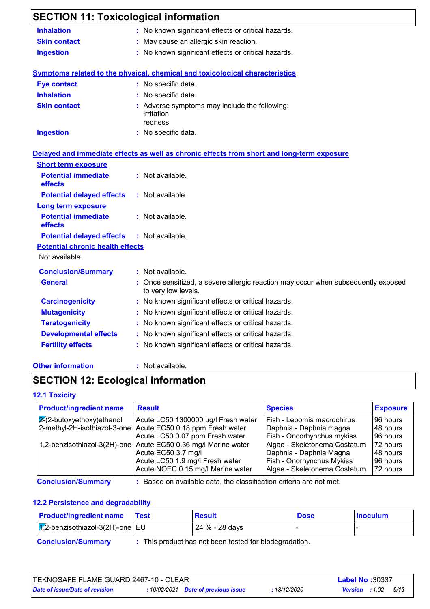| <b>SECTION 11: Toxicological information</b> |                                                                                                        |
|----------------------------------------------|--------------------------------------------------------------------------------------------------------|
| <b>Inhalation</b>                            | : No known significant effects or critical hazards.                                                    |
| <b>Skin contact</b>                          | May cause an allergic skin reaction.                                                                   |
| <b>Ingestion</b>                             | : No known significant effects or critical hazards.                                                    |
|                                              | Symptoms related to the physical, chemical and toxicological characteristics                           |
| <b>Eye contact</b>                           | : No specific data.                                                                                    |
| <b>Inhalation</b>                            | : No specific data.                                                                                    |
| <b>Skin contact</b>                          | : Adverse symptoms may include the following:<br>irritation<br>redness                                 |
| <b>Ingestion</b>                             | : No specific data.                                                                                    |
|                                              | Delayed and immediate effects as well as chronic effects from short and long-term exposure             |
| <b>Short term exposure</b>                   |                                                                                                        |
| <b>Potential immediate</b><br>effects        | : Not available.                                                                                       |
| <b>Potential delayed effects</b>             | : Not available.                                                                                       |
| <b>Long term exposure</b>                    |                                                                                                        |
| <b>Potential immediate</b><br>effects        | : Not available.                                                                                       |
| <b>Potential delayed effects</b>             | $:$ Not available.                                                                                     |
| <b>Potential chronic health effects</b>      |                                                                                                        |
| Not available.                               |                                                                                                        |
| <b>Conclusion/Summary</b>                    | : Not available.                                                                                       |
| <b>General</b>                               | Once sensitized, a severe allergic reaction may occur when subsequently exposed<br>to very low levels. |
| <b>Carcinogenicity</b>                       | : No known significant effects or critical hazards.                                                    |
| <b>Mutagenicity</b>                          | No known significant effects or critical hazards.                                                      |
| <b>Teratogenicity</b>                        | No known significant effects or critical hazards.                                                      |
| <b>Developmental effects</b>                 | No known significant effects or critical hazards.                                                      |
| <b>Fertility effects</b>                     | No known significant effects or critical hazards.                                                      |
| <b>Other information</b>                     | : Not available.                                                                                       |

# **SECTION 12: Ecological information**

### **12.1 Toxicity**

| <b>Product/ingredient name</b>     | <b>Result</b>                                                  | <b>Species</b>               | <b>Exposure</b> |
|------------------------------------|----------------------------------------------------------------|------------------------------|-----------------|
| $\sqrt{2}$ -2-butoxyethoxy)ethanol | Acute LC50 1300000 µg/l Fresh water                            | Fish - Lepomis macrochirus   | 96 hours        |
| 2-methyl-2H-isothiazol-3-one       | Acute EC50 0.18 ppm Fresh water                                | Daphnia - Daphnia magna      | 148 hours       |
|                                    | Acute LC50 0.07 ppm Fresh water                                | Fish - Oncorhynchus mykiss   | 196 hours       |
|                                    | 1,2-benzisothiazol-3(2H)-one Acute EC50 0.36 mg/l Marine water | Algae - Skeletonema Costatum | 72 hours        |
|                                    | Acute EC50 3.7 mg/l                                            | Daphnia - Daphnia Magna      | 148 hours       |
|                                    | Acute LC50 1.9 mg/l Fresh water                                | Fish - Onorhynchus Mykiss    | 196 hours       |
|                                    | Acute NOEC 0.15 mg/l Marine water                              | Algae - Skeletonema Costatum | 72 hours        |

**Conclusion/Summary :**

: Based on available data, the classification criteria are not met.

### **12.2 Persistence and degradability**

| <b>Product/ingredient name</b>          | <b>⊺Test</b> | <b>Result</b>  | <b>Dose</b> | <b>Inoculum</b> |  |
|-----------------------------------------|--------------|----------------|-------------|-----------------|--|
| $\sqrt{2}$ -benzisothiazol-3(2H)-one EU |              | 24 % - 28 days |             |                 |  |

**Conclusion/Summary :**

: This product has not been tested for biodegradation.

| ITEKNOSAFE FLAME GUARD 2467-10 - CLEAR |  | <b>Label No: 30337</b>              |              |                       |      |  |
|----------------------------------------|--|-------------------------------------|--------------|-----------------------|------|--|
| Date of issue/Date of revision         |  | : 10/02/2021 Date of previous issue | : 18/12/2020 | <b>Version</b> : 1.02 | 9/13 |  |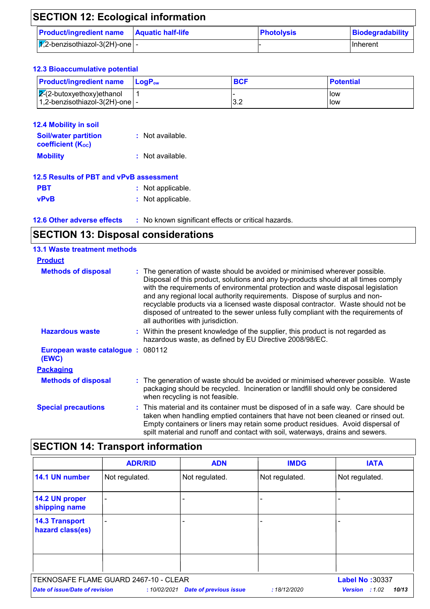| <b>SECTION 12: Ecological information</b>                |  |                   |                  |  |
|----------------------------------------------------------|--|-------------------|------------------|--|
| <b>Product/ingredient name Aquatic half-life</b>         |  | <b>Photolysis</b> | Biodegradability |  |
| $ \overline{\mathcal{X}} $ ,2-benzisothiazol-3(2H)-one - |  |                   | <b>Inherent</b>  |  |

### **12.3 Bioaccumulative potential**

| <b>Product/ingredient name</b> LogP <sub>ow</sub> | <b>BCF</b>  | <b>Potential</b> |
|---------------------------------------------------|-------------|------------------|
| $\sqrt{2}$ -butoxyethoxy)ethanol                  |             | low              |
| $1,2$ -benzisothiazol-3(2H)-one $\vert$ -         | ົດ ຕ<br>J.Z | low              |

| <b>12.4 Mobility in soil</b><br><b>Soil/water partition</b><br><b>coefficient (Koc)</b> | : Not available. |
|-----------------------------------------------------------------------------------------|------------------|
| <b>Mobility</b>                                                                         | : Not available. |
| <b>12.5 Results of PBT and vPvB assessment</b>                                          |                  |

| <u>ieiv involntu uli eti kiivi il te muuduliiviin</u> |  |                   |  |
|-------------------------------------------------------|--|-------------------|--|
| <b>PBT</b>                                            |  | : Not applicable. |  |
|                                                       |  |                   |  |

**vPvB :** Not applicable.

**12.6 Other adverse effects** : No known significant effects or critical hazards.

# **SECTION 13: Disposal considerations**

| <b>13.1 Waste treatment methods</b>       |                                                                                                                                                                                                                                                                                                                                                                                                                                                                                                                                                      |
|-------------------------------------------|------------------------------------------------------------------------------------------------------------------------------------------------------------------------------------------------------------------------------------------------------------------------------------------------------------------------------------------------------------------------------------------------------------------------------------------------------------------------------------------------------------------------------------------------------|
| <b>Product</b>                            |                                                                                                                                                                                                                                                                                                                                                                                                                                                                                                                                                      |
| <b>Methods of disposal</b>                | : The generation of waste should be avoided or minimised wherever possible.<br>Disposal of this product, solutions and any by-products should at all times comply<br>with the requirements of environmental protection and waste disposal legislation<br>and any regional local authority requirements. Dispose of surplus and non-<br>recyclable products via a licensed waste disposal contractor. Waste should not be<br>disposed of untreated to the sewer unless fully compliant with the requirements of<br>all authorities with jurisdiction. |
| <b>Hazardous waste</b>                    | : Within the present knowledge of the supplier, this product is not regarded as<br>hazardous waste, as defined by EU Directive 2008/98/EC.                                                                                                                                                                                                                                                                                                                                                                                                           |
| European waste catalogue: 080112<br>(EWC) |                                                                                                                                                                                                                                                                                                                                                                                                                                                                                                                                                      |
| <b>Packaging</b>                          |                                                                                                                                                                                                                                                                                                                                                                                                                                                                                                                                                      |
| <b>Methods of disposal</b>                | : The generation of waste should be avoided or minimised wherever possible. Waste<br>packaging should be recycled. Incineration or landfill should only be considered<br>when recycling is not feasible.                                                                                                                                                                                                                                                                                                                                             |
| <b>Special precautions</b>                | : This material and its container must be disposed of in a safe way. Care should be<br>taken when handling emptied containers that have not been cleaned or rinsed out.<br>Empty containers or liners may retain some product residues. Avoid dispersal of<br>spilt material and runoff and contact with soil, waterways, drains and sewers.                                                                                                                                                                                                         |

# **SECTION 14: Transport information**

|                                           | <b>ADR/RID</b>                        | <b>ADN</b>                    | <b>IMDG</b>    | <b>IATA</b>             |
|-------------------------------------------|---------------------------------------|-------------------------------|----------------|-------------------------|
| 14.1 UN number                            | Not regulated.                        | Not regulated.                | Not regulated. | Not regulated.          |
| 14.2 UN proper<br>shipping name           |                                       | $\overline{\phantom{0}}$      |                |                         |
| <b>14.3 Transport</b><br>hazard class(es) |                                       | -                             |                |                         |
|                                           |                                       |                               |                |                         |
|                                           | TEKNOSAFE FLAME GUARD 2467-10 - CLEAR |                               |                | Label No: 30337         |
| <b>Date of issue/Date of revision</b>     | :10/02/2021                           | <b>Date of previous issue</b> | :18/12/2020    | 10/13<br>Version : 1.02 |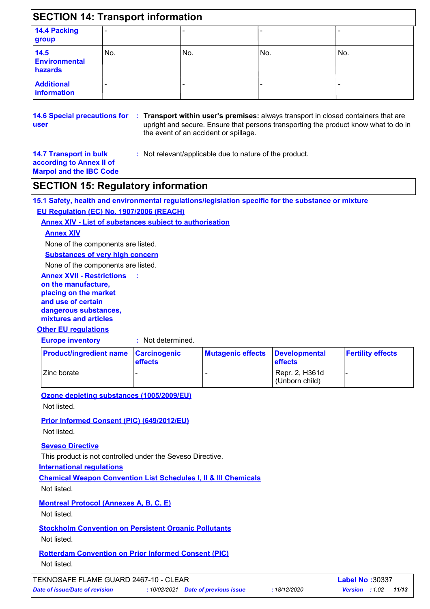|                                         | <b>SECTION 14: Transport information</b> |     |     |     |  |
|-----------------------------------------|------------------------------------------|-----|-----|-----|--|
| 14.4 Packing<br>group                   |                                          |     |     |     |  |
| 14.5<br><b>Environmental</b><br>hazards | No.                                      | No. | No. | No. |  |
| <b>Additional</b><br><b>information</b> | -                                        |     |     |     |  |

**14.6 Special precautions for : Transport within user's premises:** always transport in closed containers that are **user** upright and secure. Ensure that persons transporting the product know what to do in the event of an accident or spillage.

**14.7 Transport in bulk according to Annex II of** 

**:** Not relevant/applicable due to nature of the product.

# **Marpol and the IBC Code SECTION 15: Regulatory information**

**15.1 Safety, health and environmental regulations/legislation specific for the substance or mixture EU Regulation (EC) No. 1907/2006 (REACH)**

**Annex XIV - List of substances subject to authorisation**

**:**

### **Annex XIV**

None of the components are listed.

**Substances of very high concern**

None of the components are listed.

#### **Annex XVII - Restrictions on the manufacture, placing on the market and use of certain dangerous substances, mixtures and articles**

### **Other EU regulations**

**Europe inventory :** Not determined.

| <b>Product/ingredient name Carcinogenic</b> | <b>effects</b> | Mutagenic effects Developmental | <b>effects</b>                   | <b>Fertility effects</b> |
|---------------------------------------------|----------------|---------------------------------|----------------------------------|--------------------------|
| <b>Zinc borate</b>                          |                |                                 | Repr. 2, H361d<br>(Unborn child) |                          |

**Ozone depleting substances (1005/2009/EU)**

Not listed.

**Prior Informed Consent (PIC) (649/2012/EU)** Not listed.

### **Seveso Directive**

This product is not controlled under the Seveso Directive.

**International regulations**

**Chemical Weapon Convention List Schedules I, II & III Chemicals** Not listed.

**Montreal Protocol (Annexes A, B, C, E)**

Not listed.

### **Stockholm Convention on Persistent Organic Pollutants**

Not listed.

## **Rotterdam Convention on Prior Informed Consent (PIC)**

Not listed.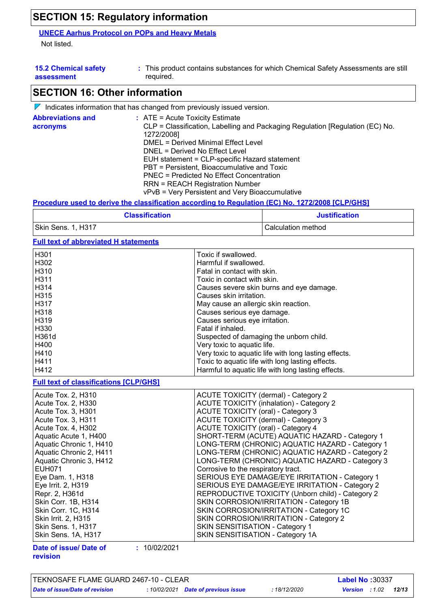# **SECTION 15: Regulatory information**

### **UNECE Aarhus Protocol on POPs and Heavy Metals**

Not listed.

| <b>15.2 Chemical safety</b> | : This product contains substances for which Chemical Safety Assessments are still |
|-----------------------------|------------------------------------------------------------------------------------|
| assessment                  | required.                                                                          |

## **SECTION 16: Other information**

|                                      | $\mathbb V$ Indicates information that has changed from previously issued version.                                                                                                                                                                                                                                                                                                                                                                 |
|--------------------------------------|----------------------------------------------------------------------------------------------------------------------------------------------------------------------------------------------------------------------------------------------------------------------------------------------------------------------------------------------------------------------------------------------------------------------------------------------------|
| <b>Abbreviations and</b><br>acronyms | $:$ ATE = Acute Toxicity Estimate<br>CLP = Classification, Labelling and Packaging Regulation [Regulation (EC) No.<br>1272/2008]<br>DMEL = Derived Minimal Effect Level<br>DNEL = Derived No Effect Level<br>EUH statement = CLP-specific Hazard statement<br>PBT = Persistent, Bioaccumulative and Toxic<br>PNEC = Predicted No Effect Concentration<br><b>RRN = REACH Registration Number</b><br>vPvB = Very Persistent and Very Bioaccumulative |
|                                      | Desardina iladda dae'iladha classifisation seasediga ta Daeilation (EO) Na 1979/9000 IOLD/OU01                                                                                                                                                                                                                                                                                                                                                     |

**Procedure used to derive the classification according to Regulation (EC) No. 1272/2008 [CLP/GHS]**

| <b>Classification</b> | <b>Justification</b> |
|-----------------------|----------------------|
| Skin Sens. 1, H317    | Calculation method   |

### **Full text of abbreviated H statements**

| H301                                          | Toxic if swallowed.                                   |
|-----------------------------------------------|-------------------------------------------------------|
| H302                                          | Harmful if swallowed.                                 |
| H310                                          | Fatal in contact with skin.                           |
| H311                                          | Toxic in contact with skin.                           |
| H314                                          | Causes severe skin burns and eye damage.              |
| H315                                          | Causes skin irritation.                               |
| H317                                          | May cause an allergic skin reaction.                  |
| H318                                          | Causes serious eye damage.                            |
| H319                                          | Causes serious eye irritation.                        |
| H330                                          | Fatal if inhaled.                                     |
| H361d                                         | Suspected of damaging the unborn child.               |
| H400                                          | Very toxic to aquatic life.                           |
| H410                                          | Very toxic to aquatic life with long lasting effects. |
| H411                                          | Toxic to aquatic life with long lasting effects.      |
| H412                                          | Harmful to aquatic life with long lasting effects.    |
| <b>Full text of classifications [CLP/GHS]</b> |                                                       |
| Acute Tox. 2, H310                            | <b>ACUTE TOXICITY (dermal) - Category 2</b>           |
| Acute Tox. 2, H330                            | <b>ACUTE TOXICITY (inhalation) - Category 2</b>       |
| Acute Tox. 3, H301                            | <b>ACUTE TOXICITY (oral) - Category 3</b>             |
| Acute Tox. 3, H311                            | <b>ACUTE TOXICITY (dermal) - Category 3</b>           |
| Acute Tox. 4, H302                            | <b>ACUTE TOXICITY (oral) - Category 4</b>             |
| Aquatic Acute 1, H400                         | SHORT-TERM (ACUTE) AQUATIC HAZARD - Category 1        |
| Aquatic Chronic 1, H410                       | LONG-TERM (CHRONIC) AQUATIC HAZARD - Category 1       |
| Aquatic Chronic 2, H411                       | LONG-TERM (CHRONIC) AQUATIC HAZARD - Category 2       |
| Aquatic Chronic 3, H412                       | LONG-TERM (CHRONIC) AQUATIC HAZARD - Category 3       |
| EUH071                                        | Corrosive to the respiratory tract.                   |
| Eye Dam. 1, H318                              | SERIOUS EYE DAMAGE/EYE IRRITATION - Category 1        |
| Eye Irrit. 2, H319                            | SERIOUS EYE DAMAGE/EYE IRRITATION - Category 2        |
| Repr. 2, H361d                                | REPRODUCTIVE TOXICITY (Unborn child) - Category 2     |
| Skin Corr. 1B, H314                           | SKIN CORROSION/IRRITATION - Category 1B               |
| Skin Corr. 1C, H314                           | SKIN CORROSION/IRRITATION - Category 1C               |
| Skin Irrit. 2, H315                           | SKIN CORROSION/IRRITATION - Category 2                |
| Skin Sens. 1, H317                            | SKIN SENSITISATION - Category 1                       |
| Skin Sens. 1A, H317                           | SKIN SENSITISATION - Category 1A                      |
| 101000004<br>.<br>$-1 - 1$                    |                                                       |

**Date of issue/ Date of revision**